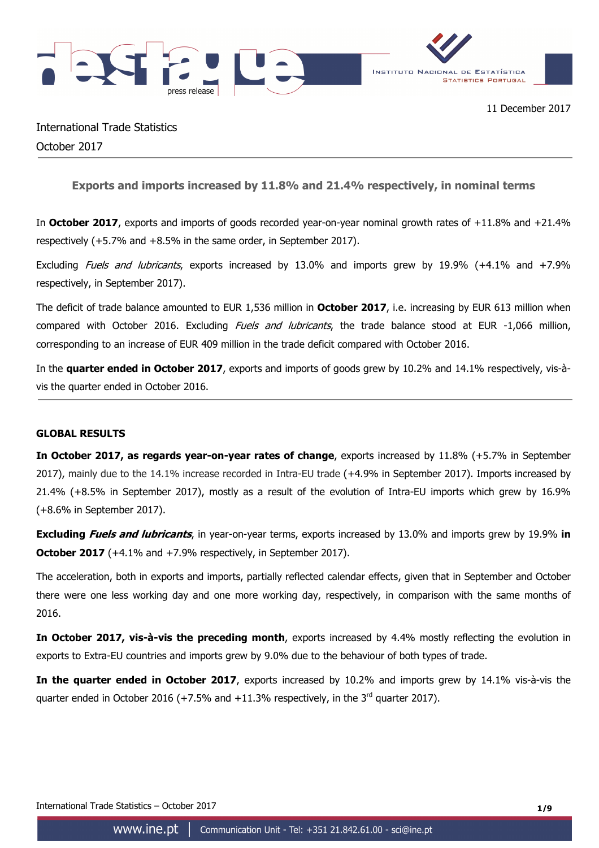

International Trade Statistics October 2017

**Exports and imports increased by 11.8% and 21.4% respectively, in nominal terms** 

In **October 2017**, exports and imports of goods recorded year-on-year nominal growth rates of +11.8% and +21.4% respectively (+5.7% and +8.5% in the same order, in September 2017).

Excluding Fuels and lubricants, exports increased by 13.0% and imports grew by 19.9% (+4.1% and +7.9% respectively, in September 2017).

The deficit of trade balance amounted to EUR 1,536 million in **October 2017**, i.e. increasing by EUR 613 million when compared with October 2016. Excluding *Fuels and Jubricants*, the trade balance stood at EUR -1,066 million, corresponding to an increase of EUR 409 million in the trade deficit compared with October 2016.

In the **quarter ended in October 2017**, exports and imports of goods grew by 10.2% and 14.1% respectively, vis-àvis the quarter ended in October 2016.

# **GLOBAL RESULTS**

**In October 2017, as regards year-on-year rates of change**, exports increased by 11.8% (+5.7% in September 2017), mainly due to the 14.1% increase recorded in Intra-EU trade (+4.9% in September 2017). Imports increased by 21.4% (+8.5% in September 2017), mostly as a result of the evolution of Intra-EU imports which grew by 16.9% (+8.6% in September 2017).

**Excluding Fuels and lubricants**, in year-on-year terms, exports increased by 13.0% and imports grew by 19.9% **in October 2017** (+4.1% and +7.9% respectively, in September 2017).

The acceleration, both in exports and imports, partially reflected calendar effects, given that in September and October there were one less working day and one more working day, respectively, in comparison with the same months of 2016.

**In October 2017, vis-à-vis the preceding month**, exports increased by 4.4% mostly reflecting the evolution in exports to Extra-EU countries and imports grew by 9.0% due to the behaviour of both types of trade.

**In the quarter ended in October 2017**, exports increased by 10.2% and imports grew by 14.1% vis-à-vis the quarter ended in October 2016 (+7.5% and +11.3% respectively, in the  $3^{rd}$  quarter 2017).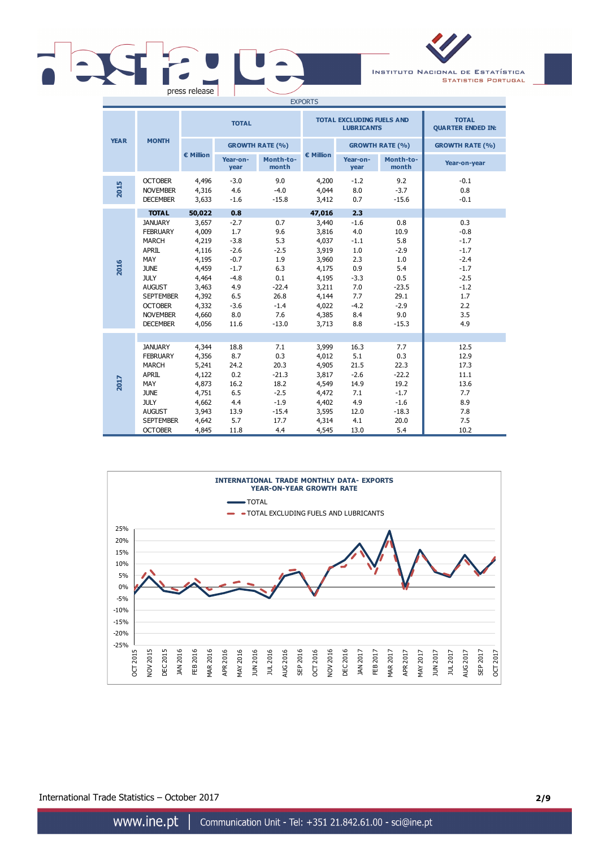|  | press release |       |
|--|---------------|-------|
|  |               | _____ |

INSTITUTO NACIONAL DE ESTATÍSTICA **STATISTICS PORTUGAL** 

| <b>EXPORTS</b> |                                                                                                                                                                                              |                                                                                                          |                                                                                                        |                                                                                                 |                                                                                                          |                                                                                              |                                                                                                  |                                                                                                       |
|----------------|----------------------------------------------------------------------------------------------------------------------------------------------------------------------------------------------|----------------------------------------------------------------------------------------------------------|--------------------------------------------------------------------------------------------------------|-------------------------------------------------------------------------------------------------|----------------------------------------------------------------------------------------------------------|----------------------------------------------------------------------------------------------|--------------------------------------------------------------------------------------------------|-------------------------------------------------------------------------------------------------------|
|                |                                                                                                                                                                                              |                                                                                                          | <b>TOTAL</b>                                                                                           |                                                                                                 |                                                                                                          | <b>TOTAL EXCLUDING FUELS AND</b><br><b>LUBRICANTS</b>                                        | <b>TOTAL</b><br><b>QUARTER ENDED IN:</b>                                                         |                                                                                                       |
| <b>YEAR</b>    | <b>MONTH</b>                                                                                                                                                                                 |                                                                                                          |                                                                                                        | <b>GROWTH RATE (%)</b>                                                                          |                                                                                                          |                                                                                              | <b>GROWTH RATE (%)</b>                                                                           | <b>GROWTH RATE (%)</b>                                                                                |
|                |                                                                                                                                                                                              | € Million                                                                                                | Year-on-<br>year                                                                                       | Month-to-<br>month                                                                              | € Million                                                                                                | Year-on-<br>year                                                                             | Month-to-<br>month                                                                               | Year-on-year                                                                                          |
| 2015           | <b>OCTOBER</b><br><b>NOVEMBER</b><br><b>DECEMBER</b>                                                                                                                                         | 4,496<br>4,316<br>3,633                                                                                  | $-3.0$<br>4.6<br>$-1.6$                                                                                | 9.0<br>$-4.0$<br>$-15.8$                                                                        | 4,200<br>4,044<br>3,412                                                                                  | $-1.2$<br>8.0<br>0.7                                                                         | 9.2<br>$-3.7$<br>$-15.6$                                                                         | $-0.1$<br>0.8<br>$-0.1$                                                                               |
|                | <b>TOTAL</b>                                                                                                                                                                                 | 50,022                                                                                                   | 0.8                                                                                                    |                                                                                                 | 47,016                                                                                                   | 2.3                                                                                          |                                                                                                  |                                                                                                       |
| 2016           | <b>JANUARY</b><br><b>FEBRUARY</b><br><b>MARCH</b><br>APRIL<br>MAY<br><b>JUNE</b><br><b>JULY</b><br><b>AUGUST</b><br><b>SEPTEMBER</b><br><b>OCTOBER</b><br><b>NOVEMBER</b><br><b>DECEMBER</b> | 3,657<br>4,009<br>4,219<br>4,116<br>4,195<br>4,459<br>4,464<br>3,463<br>4,392<br>4,332<br>4,660<br>4,056 | $-2.7$<br>1.7<br>$-3.8$<br>$-2.6$<br>$-0.7$<br>$-1.7$<br>$-4.8$<br>4.9<br>6.5<br>$-3.6$<br>8.0<br>11.6 | 0.7<br>9.6<br>5.3<br>$-2.5$<br>1.9<br>6.3<br>0.1<br>$-22.4$<br>26.8<br>$-1.4$<br>7.6<br>$-13.0$ | 3,440<br>3,816<br>4,037<br>3,919<br>3,960<br>4,175<br>4,195<br>3,211<br>4,144<br>4,022<br>4,385<br>3,713 | $-1.6$<br>4.0<br>$-1.1$<br>1.0<br>2.3<br>0.9<br>$-3.3$<br>7.0<br>7.7<br>$-4.2$<br>8.4<br>8.8 | 0.8<br>10.9<br>5.8<br>$-2.9$<br>1.0<br>5.4<br>0.5<br>$-23.5$<br>29.1<br>$-2.9$<br>9.0<br>$-15.3$ | 0.3<br>$-0.8$<br>$-1.7$<br>$-1.7$<br>$-2.4$<br>$-1.7$<br>$-2.5$<br>$-1.2$<br>1.7<br>2.2<br>3.5<br>4.9 |
| 2017           | <b>JANUARY</b><br><b>FEBRUARY</b><br><b>MARCH</b><br>APRIL<br>MAY<br><b>JUNE</b><br><b>JULY</b><br><b>AUGUST</b><br><b>SEPTEMBER</b><br><b>OCTOBER</b>                                       | 4,344<br>4,356<br>5,241<br>4,122<br>4,873<br>4,751<br>4,662<br>3,943<br>4,642<br>4,845                   | 18.8<br>8.7<br>24.2<br>0.2<br>16.2<br>6.5<br>4.4<br>13.9<br>5.7<br>11.8                                | 7.1<br>0.3<br>20.3<br>$-21.3$<br>18.2<br>$-2.5$<br>$-1.9$<br>$-15.4$<br>17.7<br>4.4             | 3,999<br>4,012<br>4,905<br>3,817<br>4,549<br>4,472<br>4,402<br>3,595<br>4,314<br>4,545                   | 16.3<br>5.1<br>21.5<br>$-2.6$<br>14.9<br>7.1<br>4.9<br>12.0<br>4.1<br>13.0                   | 7.7<br>0.3<br>22.3<br>$-22.2$<br>19.2<br>$-1.7$<br>$-1.6$<br>$-18.3$<br>20.0<br>5.4              | 12.5<br>12.9<br>17.3<br>11.1<br>13.6<br>7.7<br>8.9<br>7.8<br>7.5<br>10.2                              |



International Trade Statistics – October 2017 **2/9**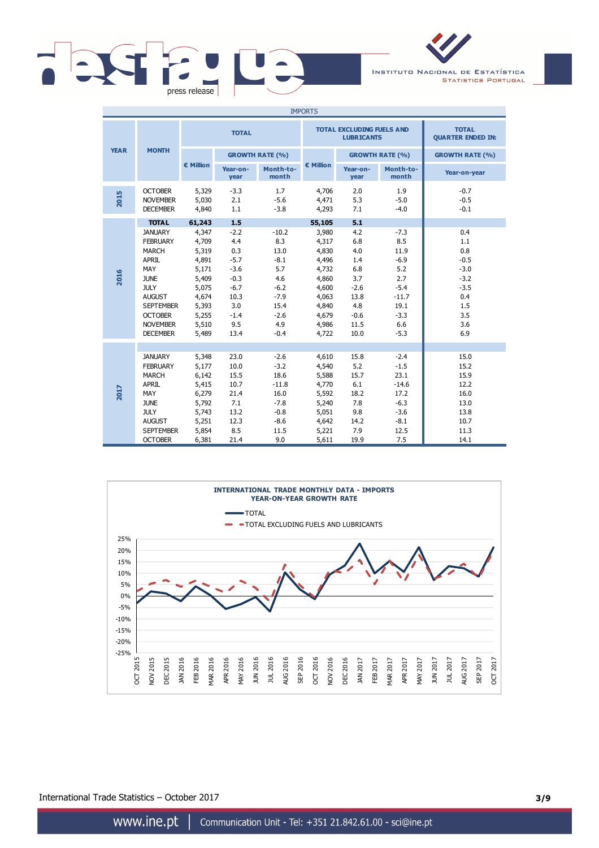

INSTITUTO NACIONAL DE ESTATÍSTICA **STATISTICS PORTUGAL** 

| <b>IMPORTS</b> |                                                                                                                                                                                              |                                                                                                          |                                                                                                      |                                                                                                       |                                                                                                          |                                                                                           |                                                                                                       |                                                                                              |  |
|----------------|----------------------------------------------------------------------------------------------------------------------------------------------------------------------------------------------|----------------------------------------------------------------------------------------------------------|------------------------------------------------------------------------------------------------------|-------------------------------------------------------------------------------------------------------|----------------------------------------------------------------------------------------------------------|-------------------------------------------------------------------------------------------|-------------------------------------------------------------------------------------------------------|----------------------------------------------------------------------------------------------|--|
|                |                                                                                                                                                                                              |                                                                                                          | <b>TOTAL</b>                                                                                         |                                                                                                       |                                                                                                          | <b>TOTAL EXCLUDING FUELS AND</b><br><b>LUBRICANTS</b>                                     |                                                                                                       | <b>TOTAL</b><br><b>QUARTER ENDED IN:</b>                                                     |  |
| <b>YEAR</b>    | <b>MONTH</b>                                                                                                                                                                                 |                                                                                                          |                                                                                                      | <b>GROWTH RATE (%)</b>                                                                                |                                                                                                          |                                                                                           | <b>GROWTH RATE (%)</b>                                                                                | <b>GROWTH RATE (%)</b>                                                                       |  |
|                |                                                                                                                                                                                              | € Million                                                                                                | Year-on-<br>year                                                                                     | Month-to-<br>month                                                                                    | € Million                                                                                                | Year-on-<br>year                                                                          | Month-to-<br>month                                                                                    | Year-on-year                                                                                 |  |
| 2015           | <b>OCTOBER</b><br><b>NOVEMBER</b><br><b>DECEMBER</b>                                                                                                                                         | 5,329<br>5,030<br>4,840                                                                                  | $-3.3$<br>2.1<br>1.1                                                                                 | 1.7<br>$-5.6$<br>$-3.8$                                                                               | 4,706<br>4,471<br>4,293                                                                                  | 2.0<br>5.3<br>7.1                                                                         | 1.9<br>$-5.0$<br>$-4.0$                                                                               | $-0.7$<br>$-0.5$<br>$-0.1$                                                                   |  |
|                | <b>TOTAL</b>                                                                                                                                                                                 | 61,243                                                                                                   | 1.5                                                                                                  |                                                                                                       | 55,105                                                                                                   | 5.1                                                                                       |                                                                                                       |                                                                                              |  |
| 2016           | <b>JANUARY</b><br><b>FEBRUARY</b><br><b>MARCH</b><br>APRIL<br>MAY<br><b>JUNE</b><br><b>JULY</b><br><b>AUGUST</b><br><b>SEPTEMBER</b><br><b>OCTOBER</b><br><b>NOVEMBER</b><br><b>DECEMBER</b> | 4,347<br>4,709<br>5,319<br>4,891<br>5,171<br>5,409<br>5,075<br>4,674<br>5,393<br>5,255<br>5,510<br>5,489 | $-2.2$<br>4.4<br>0.3<br>$-5.7$<br>$-3.6$<br>$-0.3$<br>$-6.7$<br>10.3<br>3.0<br>$-1.4$<br>9.5<br>13.4 | $-10.2$<br>8.3<br>13.0<br>$-8.1$<br>5.7<br>4.6<br>$-6.2$<br>$-7.9$<br>15.4<br>$-2.6$<br>4.9<br>$-0.4$ | 3,980<br>4,317<br>4,830<br>4,496<br>4,732<br>4,860<br>4,600<br>4,063<br>4,840<br>4,679<br>4,986<br>4,722 | 4.2<br>6.8<br>4.0<br>1.4<br>6.8<br>3.7<br>$-2.6$<br>13.8<br>4.8<br>$-0.6$<br>11.5<br>10.0 | $-7.3$<br>8.5<br>11.9<br>$-6.9$<br>5.2<br>2.7<br>$-5.4$<br>$-11.7$<br>19.1<br>$-3.3$<br>6.6<br>$-5.3$ | 0.4<br>1.1<br>0.8<br>$-0.5$<br>$-3.0$<br>$-3.2$<br>$-3.5$<br>0.4<br>1.5<br>3.5<br>3.6<br>6.9 |  |
| 2017           | <b>JANUARY</b><br><b>FEBRUARY</b><br><b>MARCH</b><br><b>APRIL</b><br>MAY<br><b>JUNE</b><br><b>JULY</b><br><b>AUGUST</b><br><b>SEPTEMBER</b><br><b>OCTOBER</b>                                | 5,348<br>5,177<br>6,142<br>5,415<br>6,279<br>5,792<br>5,743<br>5,251<br>5,854<br>6,381                   | 23.0<br>10.0<br>15.5<br>10.7<br>21.4<br>7.1<br>13.2<br>12.3<br>8.5<br>21.4                           | $-2.6$<br>$-3.2$<br>18.6<br>$-11.8$<br>16.0<br>$-7.8$<br>$-0.8$<br>$-8.6$<br>11.5<br>9.0              | 4,610<br>4,540<br>5,588<br>4,770<br>5,592<br>5,240<br>5,051<br>4,642<br>5,221<br>5,611                   | 15.8<br>5.2<br>15.7<br>6.1<br>18.2<br>7.8<br>9.8<br>14.2<br>7.9<br>19.9                   | $-2.4$<br>$-1.5$<br>23.1<br>$-14.6$<br>17.2<br>$-6.3$<br>$-3.6$<br>$-8.1$<br>12.5<br>7.5              | 15.0<br>15.2<br>15.9<br>12.2<br>16.0<br>13.0<br>13.8<br>10.7<br>11.3<br>14.1                 |  |



International Trade Statistics – October 2017 **3/9**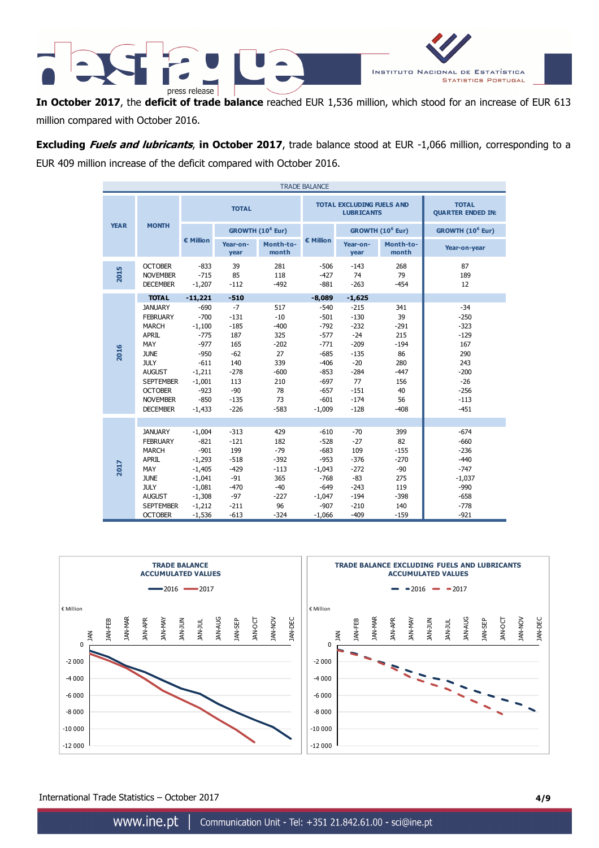

**In October 2017**, the **deficit of trade balance** reached EUR 1,536 million, which stood for an increase of EUR 613 million compared with October 2016.

**Excluding Fuels and lubricants**, **in October 2017**, trade balance stood at EUR -1,066 million, corresponding to a EUR 409 million increase of the deficit compared with October 2016.

| <b>TRADE BALANCE</b> |                                                                                                                                                                                              |                                                                                                                              |                                                                                                      |                                                                                             |                                                                                                                        |                                                                                                                |                                                                                          |                                                                                                           |  |
|----------------------|----------------------------------------------------------------------------------------------------------------------------------------------------------------------------------------------|------------------------------------------------------------------------------------------------------------------------------|------------------------------------------------------------------------------------------------------|---------------------------------------------------------------------------------------------|------------------------------------------------------------------------------------------------------------------------|----------------------------------------------------------------------------------------------------------------|------------------------------------------------------------------------------------------|-----------------------------------------------------------------------------------------------------------|--|
|                      |                                                                                                                                                                                              |                                                                                                                              | <b>TOTAL</b>                                                                                         |                                                                                             |                                                                                                                        | <b>TOTAL EXCLUDING FUELS AND</b><br><b>LUBRICANTS</b>                                                          |                                                                                          | <b>TOTAL</b><br><b>QUARTER ENDED IN:</b>                                                                  |  |
| <b>YEAR</b>          | <b>MONTH</b>                                                                                                                                                                                 |                                                                                                                              |                                                                                                      | GROWTH (10 <sup>6</sup> Eur)                                                                |                                                                                                                        |                                                                                                                | GROWTH (10 <sup>6</sup> Eur)                                                             | GROWTH (10 <sup>6</sup> Eur)                                                                              |  |
|                      |                                                                                                                                                                                              | $\epsilon$ Million                                                                                                           | Year-on-<br>year                                                                                     | Month-to-<br>month                                                                          | € Million                                                                                                              | Year-on-<br>year                                                                                               | Month-to-<br>month                                                                       | Year-on-year                                                                                              |  |
| 2015                 | <b>OCTOBER</b><br><b>NOVEMBER</b><br><b>DECEMBER</b>                                                                                                                                         | $-833$<br>$-715$<br>$-1,207$                                                                                                 | 39<br>85<br>$-112$                                                                                   | 281<br>118<br>$-492$                                                                        | $-506$<br>$-427$<br>$-881$                                                                                             | $-143$<br>74<br>$-263$                                                                                         | 268<br>79<br>$-454$                                                                      | 87<br>189<br>12                                                                                           |  |
|                      | <b>TOTAL</b>                                                                                                                                                                                 | $-11,221$                                                                                                                    | $-510$                                                                                               |                                                                                             | $-8,089$                                                                                                               | $-1,625$                                                                                                       |                                                                                          |                                                                                                           |  |
| 2016                 | <b>JANUARY</b><br><b>FEBRUARY</b><br><b>MARCH</b><br>APRIL<br>MAY<br><b>JUNE</b><br><b>JULY</b><br><b>AUGUST</b><br><b>SEPTEMBER</b><br><b>OCTOBER</b><br><b>NOVEMBER</b><br><b>DECEMBER</b> | $-690$<br>$-700$<br>$-1,100$<br>$-775$<br>$-977$<br>$-950$<br>$-611$<br>$-1,211$<br>$-1,001$<br>$-923$<br>$-850$<br>$-1,433$ | $-7$<br>$-131$<br>$-185$<br>187<br>165<br>$-62$<br>140<br>$-278$<br>113<br>$-90$<br>$-135$<br>$-226$ | 517<br>$-10$<br>$-400$<br>325<br>$-202$<br>27<br>339<br>$-600$<br>210<br>78<br>73<br>$-583$ | $-540$<br>$-501$<br>$-792$<br>$-577$<br>$-771$<br>$-685$<br>$-406$<br>$-853$<br>$-697$<br>$-657$<br>$-601$<br>$-1,009$ | $-215$<br>$-130$<br>$-232$<br>$-24$<br>$-209$<br>$-135$<br>$-20$<br>$-284$<br>77<br>$-151$<br>$-174$<br>$-128$ | 341<br>39<br>$-291$<br>215<br>$-194$<br>86<br>280<br>$-447$<br>156<br>40<br>56<br>$-408$ | $-34$<br>$-250$<br>$-323$<br>$-129$<br>167<br>290<br>243<br>$-200$<br>$-26$<br>$-256$<br>$-113$<br>$-451$ |  |
| 2017                 | <b>JANUARY</b><br><b>FEBRUARY</b><br><b>MARCH</b><br>APRIL<br>MAY<br><b>JUNE</b><br><b>JULY</b><br><b>AUGUST</b><br><b>SEPTEMBER</b><br><b>OCTOBER</b>                                       | $-1,004$<br>$-821$<br>$-901$<br>$-1,293$<br>$-1,405$<br>$-1,041$<br>$-1,081$<br>$-1,308$<br>$-1,212$<br>$-1,536$             | $-313$<br>$-121$<br>199<br>$-518$<br>$-429$<br>$-91$<br>$-470$<br>$-97$<br>$-211$<br>$-613$          | 429<br>182<br>$-79$<br>$-392$<br>$-113$<br>365<br>$-40$<br>$-227$<br>96<br>$-324$           | $-610$<br>$-528$<br>$-683$<br>$-953$<br>$-1,043$<br>$-768$<br>$-649$<br>$-1,047$<br>$-907$<br>$-1,066$                 | $-70$<br>$-27$<br>109<br>$-376$<br>$-272$<br>$-83$<br>$-243$<br>$-194$<br>$-210$<br>$-409$                     | 399<br>82<br>$-155$<br>$-270$<br>$-90$<br>275<br>119<br>$-398$<br>140<br>$-159$          | $-674$<br>$-660$<br>$-236$<br>$-440$<br>$-747$<br>$-1,037$<br>$-990$<br>$-658$<br>$-778$<br>$-921$        |  |



International Trade Statistics – October 2017 **4/9**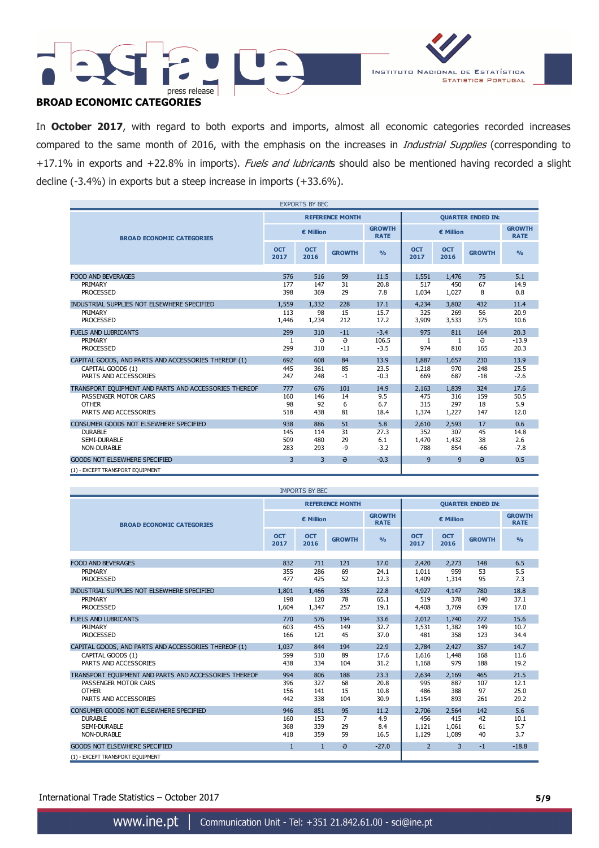



# **BROAD ECONOMIC CATEGORIES**

In **October 2017**, with regard to both exports and imports, almost all economic categories recorded increases compared to the same month of 2016, with the emphasis on the increases in *Industrial Supplies* (corresponding to +17.1% in exports and +22.8% in imports). Fuels and lubricants should also be mentioned having recorded a slight decline (-3.4%) in exports but a steep increase in imports (+33.6%).

| <b>EXPORTS BY BEC</b>                                 |                    |                        |               |                              |                    |                          |               |                              |  |
|-------------------------------------------------------|--------------------|------------------------|---------------|------------------------------|--------------------|--------------------------|---------------|------------------------------|--|
|                                                       |                    | <b>REFERENCE MONTH</b> |               |                              |                    | <b>QUARTER ENDED IN:</b> |               |                              |  |
| <b>BROAD ECONOMIC CATEGORIES</b>                      |                    | € Million              |               | <b>GROWTH</b><br><b>RATE</b> | € Million          |                          |               | <b>GROWTH</b><br><b>RATE</b> |  |
|                                                       | <b>OCT</b><br>2017 | <b>OCT</b><br>2016     | <b>GROWTH</b> | $\frac{9}{6}$                | <b>OCT</b><br>2017 | <b>OCT</b><br>2016       | <b>GROWTH</b> | $\frac{9}{6}$                |  |
|                                                       |                    |                        |               |                              |                    |                          |               |                              |  |
| <b>FOOD AND BEVERAGES</b>                             | 576                | 516                    | 59            | 11.5                         | 1,551              | 1,476                    | 75            | 5.1                          |  |
| PRIMARY<br><b>PROCESSED</b>                           | 177<br>398         | 147<br>369             | 31<br>29      | 20.8<br>7.8                  | 517<br>1,034       | 450<br>1,027             | 67<br>8       | 14.9<br>0.8                  |  |
| INDUSTRIAL SUPPLIES NOT ELSEWHERE SPECIFIED           | 1,559              | 1,332                  | 228           | 17.1                         | 4,234              | 3,802                    | 432           | 11.4                         |  |
| PRIMARY                                               | 113                | 98                     | 15            | 15.7                         | 325                | 269                      | 56            | 20.9                         |  |
| <b>PROCESSED</b>                                      | 1,446              | 1,234                  | 212           | 17.2                         | 3,909              | 3,533                    | 375           | 10.6                         |  |
| <b>FUELS AND LUBRICANTS</b>                           | 299                | 310                    | $-11$         | $-3.4$                       | 975                | 811                      | 164           | 20.3                         |  |
| PRIMARY                                               | $\mathbf{1}$       | ə                      | $\Theta$      | 106.5                        | 1                  | $\mathbf{1}$             | $\Theta$      | $-13.9$                      |  |
| <b>PROCESSED</b>                                      | 299                | 310                    | $-11$         | $-3.5$                       | 974                | 810                      | 165           | 20.3                         |  |
| CAPITAL GOODS, AND PARTS AND ACCESSORIES THEREOF (1)  | 692                | 608                    | 84            | 13.9                         | 1.887              | 1,657                    | 230           | 13.9                         |  |
| CAPITAL GOODS (1)                                     | 445                | 361                    | 85            | 23.5                         | 1,218              | 970                      | 248           | 25.5                         |  |
| PARTS AND ACCESSORIES                                 | 247                | 248                    | $-1$          | $-0.3$                       | 669                | 687                      | $-18$         | $-2.6$                       |  |
| TRANSPORT EQUIPMENT AND PARTS AND ACCESSORIES THEREOF | 777                | 676                    | 101           | 14.9                         | 2.163              | 1,839                    | 324           | 17.6                         |  |
| PASSENGER MOTOR CARS                                  | 160                | 146                    | 14            | 9.5                          | 475                | 316                      | 159           | 50.5                         |  |
| <b>OTHER</b>                                          | 98                 | 92                     | 6             | 6.7                          | 315                | 297                      | 18            | 5.9                          |  |
| PARTS AND ACCESSORIES                                 | 518                | 438                    | 81            | 18.4                         | 1,374              | 1,227                    | 147           | 12.0                         |  |
| CONSUMER GOODS NOT ELSEWHERE SPECIFIED                | 938                | 886                    | 51            | 5.8                          | 2,610              | 2,593                    | 17            | 0.6                          |  |
| <b>DURABLE</b>                                        | 145                | 114                    | 31            | 27.3                         | 352                | 307                      | 45            | 14.8                         |  |
| SEMI-DURABLE                                          | 509                | 480                    | 29            | 6.1                          | 1,470              | 1,432                    | 38            | 2.6                          |  |
| <b>NON-DURABLE</b>                                    | 283                | 293                    | -9            | $-3.2$                       | 788                | 854                      | $-66$         | $-7.8$                       |  |
| <b>GOODS NOT ELSEWHERE SPECIFIED</b>                  | $\overline{3}$     | $\overline{3}$         | $\theta$      | $-0.3$                       | 9                  | 9                        | $\theta$      | 0.5                          |  |
| (1) - EXCEPT TRANSPORT EQUIPMENT                      |                    |                        |               |                              |                    |                          |               |                              |  |

| <b>IMPORTS BY BEC</b>                                 |                        |                    |                |                              |                          |                    |               |                              |
|-------------------------------------------------------|------------------------|--------------------|----------------|------------------------------|--------------------------|--------------------|---------------|------------------------------|
|                                                       | <b>REFERENCE MONTH</b> |                    |                |                              | <b>OUARTER ENDED IN:</b> |                    |               |                              |
| <b>BROAD ECONOMIC CATEGORIES</b>                      |                        | € Million          |                | <b>GROWTH</b><br><b>RATE</b> | € Million                |                    |               | <b>GROWTH</b><br><b>RATE</b> |
|                                                       | <b>OCT</b><br>2017     | <b>OCT</b><br>2016 | <b>GROWTH</b>  | O <sub>0</sub>               | <b>OCT</b><br>2017       | <b>OCT</b><br>2016 | <b>GROWTH</b> | $\frac{O}{O}$                |
| <b>FOOD AND BEVERAGES</b>                             | 832                    | 711                | 121            | 17.0                         | 2,420                    | 2,273              | 148           | 6.5                          |
| PRIMARY                                               | 355                    | 286                | 69             | 24.1                         | 1,011                    | 959                | 53            | 5.5                          |
| <b>PROCESSED</b>                                      | 477                    | 425                | 52             | 12.3                         | 1,409                    | 1,314              | 95            | 7.3                          |
| INDUSTRIAL SUPPLIES NOT ELSEWHERE SPECIFIED           | 1.801                  | 1.466              | 335            | 22.8                         | 4.927                    | 4.147              | 780           | 18.8                         |
| PRIMARY                                               | 198                    | 120                | 78             | 65.1                         | 519                      | 378                | 140           | 37.1                         |
| <b>PROCESSED</b>                                      | 1,604                  | 1,347              | 257            | 19.1                         | 4,408                    | 3,769              | 639           | 17.0                         |
| <b>FUELS AND LUBRICANTS</b>                           | 770                    | 576                | 194            | 33.6                         | 2,012                    | 1,740              | 272           | 15.6                         |
| PRIMARY                                               | 603                    | 455                | 149            | 32.7                         | 1,531                    | 1,382              | 149           | 10.7                         |
| <b>PROCESSED</b>                                      | 166                    | 121                | 45             | 37.0                         | 481                      | 358                | 123           | 34.4                         |
| CAPITAL GOODS, AND PARTS AND ACCESSORIES THEREOF (1)  | 1,037                  | 844                | 194            | 22.9                         | 2.784                    | 2.427              | 357           | 14.7                         |
| CAPITAL GOODS (1)                                     | 599                    | 510                | 89             | 17.6                         | 1.616                    | 1,448              | 168           | 11.6                         |
| PARTS AND ACCESSORIES                                 | 438                    | 334                | 104            | 31.2                         | 1,168                    | 979                | 188           | 19.2                         |
| TRANSPORT EQUIPMENT AND PARTS AND ACCESSORIES THEREOF | 994                    | 806                | 188            | 23.3                         | 2,634                    | 2.169              | 465           | 21.5                         |
| PASSENGER MOTOR CARS                                  | 396                    | 327                | 68             | 20.8                         | 995                      | 887                | 107           | 12.1                         |
| <b>OTHER</b>                                          | 156                    | 141                | 15             | 10.8                         | 486                      | 388                | 97            | 25.0                         |
| PARTS AND ACCESSORIES                                 | 442                    | 338                | 104            | 30.9                         | 1,154                    | 893                | 261           | 29.2                         |
| CONSUMER GOODS NOT ELSEWHERE SPECIFIED                | 946                    | 851                | 95             | 11.2                         | 2,706                    | 2,564              | 142           | 5.6                          |
| <b>DURABLE</b>                                        | 160                    | 153                | $\overline{7}$ | 4.9                          | 456                      | 415                | 42            | 10.1                         |
| SEMI-DURABLE                                          | 368                    | 339                | 29             | 8.4                          | 1,121                    | 1,061              | 61            | 5.7                          |
| <b>NON-DURABLE</b>                                    | 418                    | 359                | 59             | 16.5                         | 1,129                    | 1,089              | 40            | 3.7                          |
| <b>GOODS NOT ELSEWHERE SPECIFIED</b>                  | $\mathbf{1}$           | $\mathbf{1}$       | $\theta$       | $-27.0$                      | $\overline{2}$           | 3                  | $-1$          | $-18.8$                      |
| (1) - EXCEPT TRANSPORT EQUIPMENT                      |                        |                    |                |                              |                          |                    |               |                              |

International Trade Statistics – October 2017 **5/9**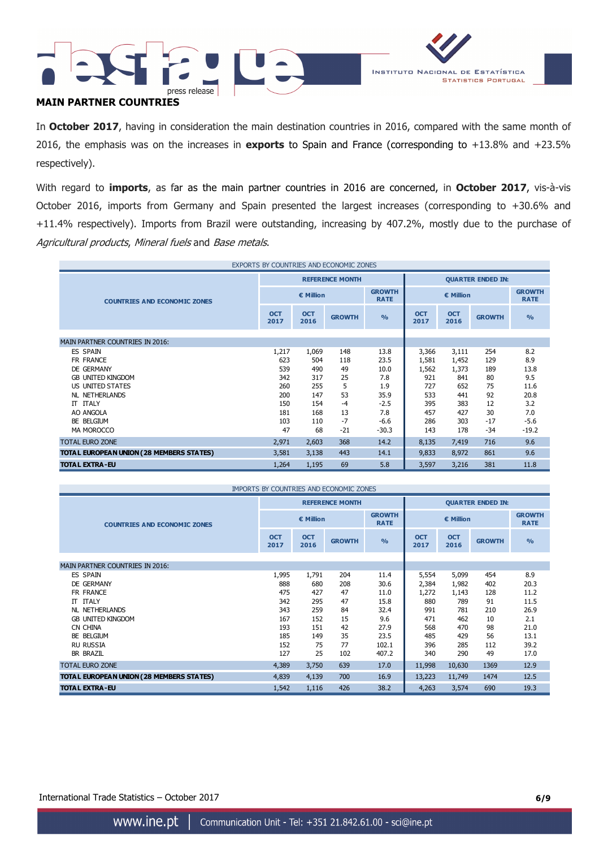



## **MAIN PARTNER COUNTRIES**

In **October 2017**, having in consideration the main destination countries in 2016, compared with the same month of 2016, the emphasis was on the increases in **exports** to Spain and France (corresponding to +13.8% and +23.5% respectively).

With regard to **imports**, as far as the main partner countries in 2016 are concerned, in **October 2017**, vis-à-vis October 2016, imports from Germany and Spain presented the largest increases (corresponding to +30.6% and +11.4% respectively). Imports from Brazil were outstanding, increasing by 407.2%, mostly due to the purchase of Agricultural products, Mineral fuels and Base metals.

| EXPORTS BY COUNTRIES AND ECONOMIC ZONES  |                                           |                        |               |               |                    |                          |               |                              |  |
|------------------------------------------|-------------------------------------------|------------------------|---------------|---------------|--------------------|--------------------------|---------------|------------------------------|--|
|                                          |                                           | <b>REFERENCE MONTH</b> |               |               |                    | <b>QUARTER ENDED IN:</b> |               |                              |  |
| <b>COUNTRIES AND ECONOMIC ZONES</b>      | <b>GROWTH</b><br>€ Million<br><b>RATE</b> |                        |               |               | € Million          |                          |               | <b>GROWTH</b><br><b>RATE</b> |  |
|                                          | <b>OCT</b><br>2017                        | <b>OCT</b><br>2016     | <b>GROWTH</b> | $\frac{0}{0}$ | <b>OCT</b><br>2017 | <b>OCT</b><br>2016       | <b>GROWTH</b> | $\frac{9}{6}$                |  |
| <b>MAIN PARTNER COUNTRIES IN 2016:</b>   |                                           |                        |               |               |                    |                          |               |                              |  |
| <b>ES SPAIN</b>                          | 1,217                                     | 1,069                  | 148           | 13.8          | 3,366              | 3,111                    | 254           | 8.2                          |  |
| FR FRANCE                                | 623                                       | 504                    | 118           | 23.5          | 1,581              | 1,452                    | 129           | 8.9                          |  |
| DE GERMANY                               | 539                                       | 490                    | 49            | 10.0          | 1,562              | 1,373                    | 189           | 13.8                         |  |
| <b>GB UNITED KINGDOM</b>                 | 342                                       | 317                    | 25            | 7.8           | 921                | 841                      | 80            | 9.5                          |  |
| US UNITED STATES                         | 260                                       | 255                    | 5             | 1.9           | 727                | 652                      | 75            | 11.6                         |  |
| NL NETHERLANDS                           | 200                                       | 147                    | 53            | 35.9          | 533                | 441                      | 92            | 20.8                         |  |
| IT ITALY                                 | 150                                       | 154                    | $-4$          | $-2.5$        | 395                | 383                      | 12            | 3.2                          |  |
| AO ANGOLA                                | 181                                       | 168                    | 13            | 7.8           | 457                | 427                      | 30            | 7.0                          |  |
| BE BELGIUM                               | 103                                       | 110                    | $-7$          | $-6.6$        | 286                | 303                      | $-17$         | $-5.6$                       |  |
| MA MOROCCO                               | 47                                        | 68                     | $-21$         | $-30.3$       | 143                | 178                      | $-34$         | $-19.2$                      |  |
| <b>TOTAL EURO ZONE</b>                   | 2,971                                     | 2,603                  | 368           | 14.2          | 8,135              | 7,419                    | 716           | 9.6                          |  |
| TOTAL EUROPEAN UNION (28 MEMBERS STATES) | 3,581                                     | 3,138                  | 443           | 14.1          | 9,833              | 8,972                    | 861           | 9.6                          |  |
| <b>TOTAL EXTRA-EU</b>                    | 1,264                                     | 1,195                  | 69            | 5.8           | 3,597              | 3,216                    | 381           | 11.8                         |  |

| <b>IMPORTS BY COUNTRIES AND ECONOMIC ZONES</b> |                    |                        |               |                              |                    |                          |               |                              |  |
|------------------------------------------------|--------------------|------------------------|---------------|------------------------------|--------------------|--------------------------|---------------|------------------------------|--|
|                                                |                    | <b>REFERENCE MONTH</b> |               |                              |                    | <b>QUARTER ENDED IN:</b> |               |                              |  |
| <b>COUNTRIES AND ECONOMIC ZONES</b>            | € Million          |                        |               | <b>GROWTH</b><br><b>RATE</b> | € Million          |                          |               | <b>GROWTH</b><br><b>RATE</b> |  |
|                                                | <b>OCT</b><br>2017 | <b>OCT</b><br>2016     | <b>GROWTH</b> | $\frac{0}{0}$                | <b>OCT</b><br>2017 | <b>OCT</b><br>2016       | <b>GROWTH</b> | $\frac{0}{0}$                |  |
| <b>MAIN PARTNER COUNTRIES IN 2016:</b>         |                    |                        |               |                              |                    |                          |               |                              |  |
| <b>ES SPAIN</b>                                | 1,995              | 1,791                  | 204           | 11.4                         | 5,554              | 5,099                    | 454           | 8.9                          |  |
| DE GERMANY                                     | 888                | 680                    | 208           | 30.6                         | 2,384              | 1,982                    | 402           | 20.3                         |  |
| FR FRANCE                                      | 475                | 427                    | 47            | 11.0                         | 1,272              | 1,143                    | 128           | 11.2                         |  |
| <b>IT ITALY</b>                                | 342                | 295                    | 47            | 15.8                         | 880                | 789                      | 91            | 11.5                         |  |
| NL NETHERLANDS                                 | 343                | 259                    | 84            | 32.4                         | 991                | 781                      | 210           | 26.9                         |  |
| <b>GB UNITED KINGDOM</b>                       | 167                | 152                    | 15            | 9.6                          | 471                | 462                      | 10            | 2.1                          |  |
| CN CHINA                                       | 193                | 151                    | 42            | 27.9                         | 568                | 470                      | 98            | 21.0                         |  |
| BE BELGIUM                                     | 185                | 149                    | 35            | 23.5                         | 485                | 429                      | 56            | 13.1                         |  |
| <b>RU RUSSIA</b>                               | 152                | 75                     | 77            | 102.1                        | 396                | 285                      | 112           | 39.2                         |  |
| <b>BR BRAZIL</b>                               | 127                | 25                     | 102           | 407.2                        | 340                | 290                      | 49            | 17.0                         |  |
| <b>TOTAL EURO ZONE</b>                         | 4,389              | 3,750                  | 639           | 17.0                         | 11,998             | 10,630                   | 1369          | 12.9                         |  |
| TOTAL EUROPEAN UNION (28 MEMBERS STATES)       | 4,839              | 4,139                  | 700           | 16.9                         | 13,223             | 11,749                   | 1474          | 12.5                         |  |
| <b>TOTAL EXTRA-EU</b>                          | 1,542              | 1,116                  | 426           | 38.2                         | 4,263              | 3,574                    | 690           | 19.3                         |  |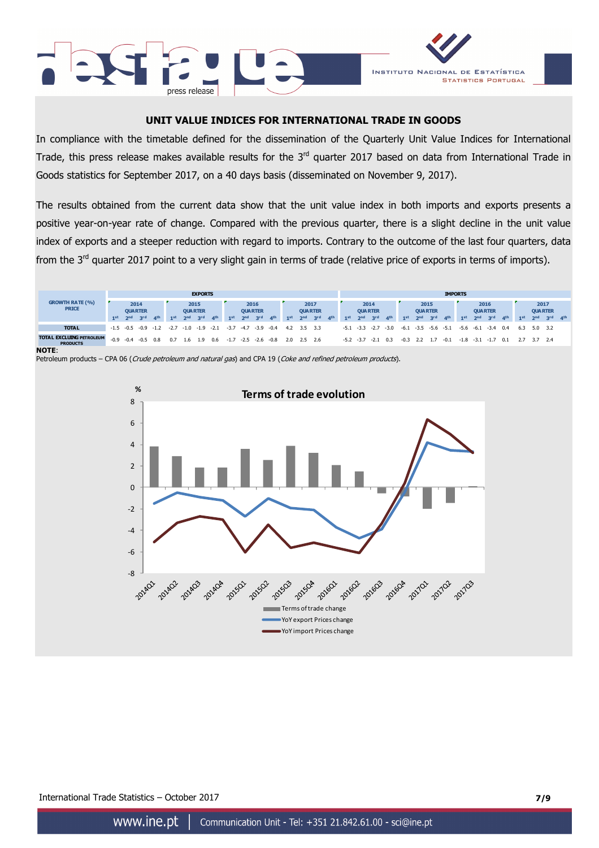



## **UNIT VALUE INDICES FOR INTERNATIONAL TRADE IN GOODS**

In compliance with the timetable defined for the dissemination of the Quarterly Unit Value Indices for International Trade, this press release makes available results for the  $3<sup>rd</sup>$  quarter 2017 based on data from International Trade in Goods statistics for September 2017, on a 40 days basis (disseminated on November 9, 2017).

The results obtained from the current data show that the unit value index in both imports and exports presents a positive year-on-year rate of change. Compared with the previous quarter, there is a slight decline in the unit value index of exports and a steeper reduction with regard to imports. Contrary to the outcome of the last four quarters, data from the  $3^{rd}$  quarter 2017 point to a very slight gain in terms of trade (relative price of exports in terms of imports).



**NOTE**:



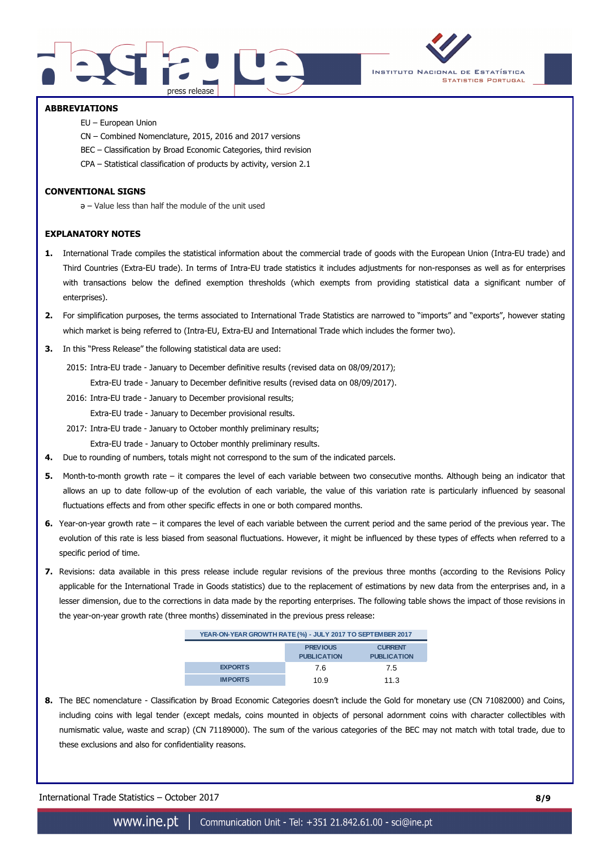



## **ABBREVIATIONS**

- EU European Union
- CN Combined Nomenclature, 2015, 2016 and 2017 versions
- BEC Classification by Broad Economic Categories, third revision
- CPA Statistical classification of products by activity, version 2.1

### **CONVENTIONAL SIGNS**

ә – Value less than half the module of the unit used

### **EXPLANATORY NOTES**

- **1.** International Trade compiles the statistical information about the commercial trade of goods with the European Union (Intra-EU trade) and Third Countries (Extra-EU trade). In terms of Intra-EU trade statistics it includes adjustments for non-responses as well as for enterprises with transactions below the defined exemption thresholds (which exempts from providing statistical data a significant number of enterprises).
- **2.** For simplification purposes, the terms associated to International Trade Statistics are narrowed to "imports" and "exports", however stating which market is being referred to (Intra-EU, Extra-EU and International Trade which includes the former two).
- **3.** In this "Press Release" the following statistical data are used:

2015: Intra-EU trade - January to December definitive results (revised data on 08/09/2017);

Extra-EU trade - January to December definitive results (revised data on 08/09/2017).

2016: Intra-EU trade - January to December provisional results;

Extra-EU trade - January to December provisional results.

2017: Intra-EU trade - January to October monthly preliminary results;

Extra-EU trade - January to October monthly preliminary results.

- **4.** Due to rounding of numbers, totals might not correspond to the sum of the indicated parcels.
- **5.** Month-to-month growth rate it compares the level of each variable between two consecutive months. Although being an indicator that allows an up to date follow-up of the evolution of each variable, the value of this variation rate is particularly influenced by seasonal fluctuations effects and from other specific effects in one or both compared months.
- **6.** Year-on-year growth rate it compares the level of each variable between the current period and the same period of the previous year. The evolution of this rate is less biased from seasonal fluctuations. However, it might be influenced by these types of effects when referred to a specific period of time.
- **7.** Revisions: data available in this press release include regular revisions of the previous three months (according to the Revisions Policy applicable for the International Trade in Goods statistics) due to the replacement of estimations by new data from the enterprises and, in a lesser dimension, due to the corrections in data made by the reporting enterprises. The following table shows the impact of those revisions in the year-on-year growth rate (three months) disseminated in the previous press release:

| YEAR-ON-YEAR GROWTH RATE (%) - JULY 2017 TO SEPTEMBER 2017 |                                       |                                      |  |  |  |  |  |  |
|------------------------------------------------------------|---------------------------------------|--------------------------------------|--|--|--|--|--|--|
|                                                            | <b>PREVIOUS</b><br><b>PUBLICATION</b> | <b>CURRENT</b><br><b>PUBLICATION</b> |  |  |  |  |  |  |
| <b>EXPORTS</b>                                             | 7.6                                   | 7.5                                  |  |  |  |  |  |  |
| <b>IMPORTS</b>                                             | 10.9                                  | 11.3                                 |  |  |  |  |  |  |

**8.** The BEC nomenclature - Classification by Broad Economic Categories doesn't include the Gold for monetary use (CN 71082000) and Coins, including coins with legal tender (except medals, coins mounted in objects of personal adornment coins with character collectibles with numismatic value, waste and scrap) (CN 71189000). The sum of the various categories of the BEC may not match with total trade, due to these exclusions and also for confidentiality reasons.

International Trade Statistics – October 2017 **8/9**